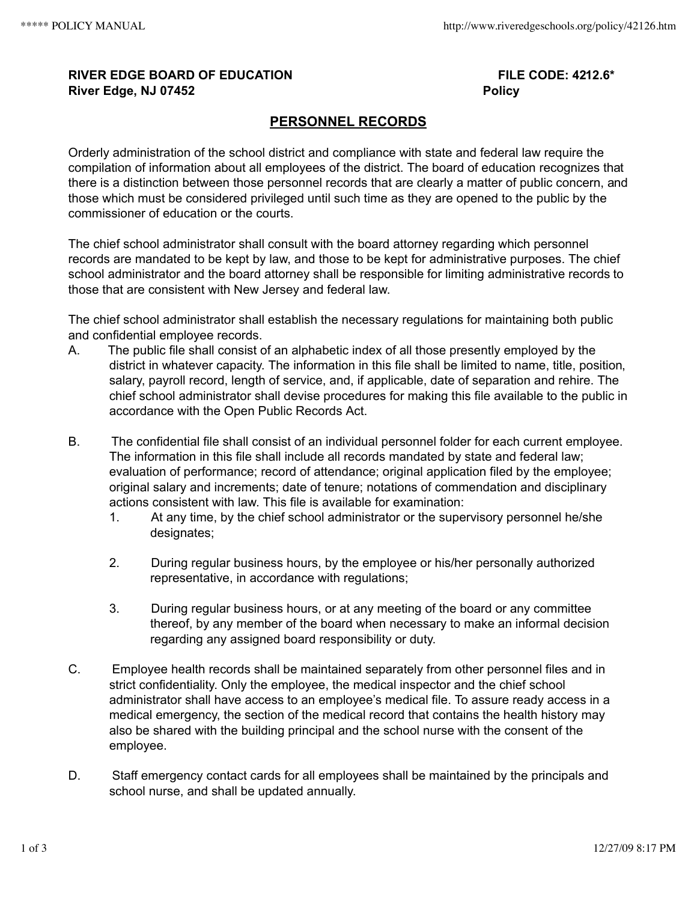## **RIVER EDGE BOARD OF EDUCATION FILE CODE: 4212.6\* River Edge, NJ 07452 Policy**

## **PERSONNEL RECORDS**

Orderly administration of the school district and compliance with state and federal law require the compilation of information about all employees of the district. The board of education recognizes that there is a distinction between those personnel records that are clearly a matter of public concern, and those which must be considered privileged until such time as they are opened to the public by the commissioner of education or the courts.

The chief school administrator shall consult with the board attorney regarding which personnel records are mandated to be kept by law, and those to be kept for administrative purposes. The chief school administrator and the board attorney shall be responsible for limiting administrative records to those that are consistent with New Jersey and federal law.

The chief school administrator shall establish the necessary regulations for maintaining both public and confidential employee records.

- A. The public file shall consist of an alphabetic index of all those presently employed by the district in whatever capacity. The information in this file shall be limited to name, title, position, salary, payroll record, length of service, and, if applicable, date of separation and rehire. The chief school administrator shall devise procedures for making this file available to the public in accordance with the Open Public Records Act.
- B. The confidential file shall consist of an individual personnel folder for each current employee. The information in this file shall include all records mandated by state and federal law; evaluation of performance; record of attendance; original application filed by the employee; original salary and increments; date of tenure; notations of commendation and disciplinary actions consistent with law. This file is available for examination:
	- 1. At any time, by the chief school administrator or the supervisory personnel he/she designates;
	- 2. During regular business hours, by the employee or his/her personally authorized representative, in accordance with regulations;
	- 3. During regular business hours, or at any meeting of the board or any committee thereof, by any member of the board when necessary to make an informal decision regarding any assigned board responsibility or duty.
- C. Employee health records shall be maintained separately from other personnel files and in strict confidentiality. Only the employee, the medical inspector and the chief school administrator shall have access to an employee's medical file. To assure ready access in a medical emergency, the section of the medical record that contains the health history may also be shared with the building principal and the school nurse with the consent of the employee.
- D. Staff emergency contact cards for all employees shall be maintained by the principals and school nurse, and shall be updated annually.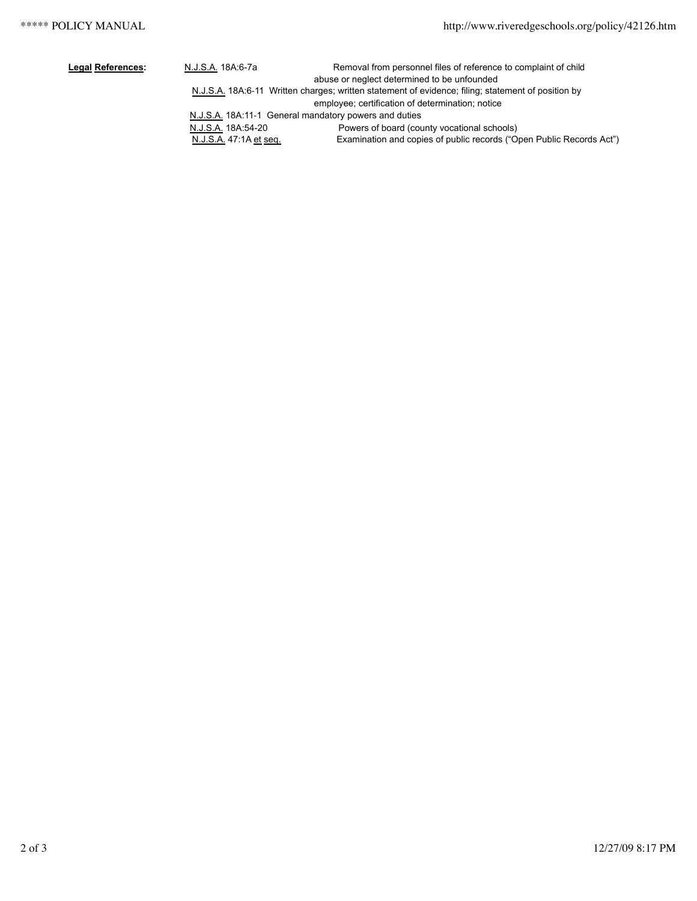| <b>Legal References:</b> | N.J.S.A. 18A:6-7a                                     | Removal from personnel files of reference to complaint of child                                    |  |
|--------------------------|-------------------------------------------------------|----------------------------------------------------------------------------------------------------|--|
|                          |                                                       | abuse or neglect determined to be unfounded                                                        |  |
|                          |                                                       | N.J.S.A. 18A:6-11 Written charges; written statement of evidence; filing; statement of position by |  |
|                          |                                                       | employee; certification of determination; notice                                                   |  |
|                          | N.J.S.A. 18A:11-1 General mandatory powers and duties |                                                                                                    |  |
|                          | N.J.S.A. 18A:54-20                                    | Powers of board (county vocational schools)                                                        |  |
|                          | N.J.S.A. 47:1A et seq.                                | Examination and copies of public records ("Open Public Records Act")                               |  |